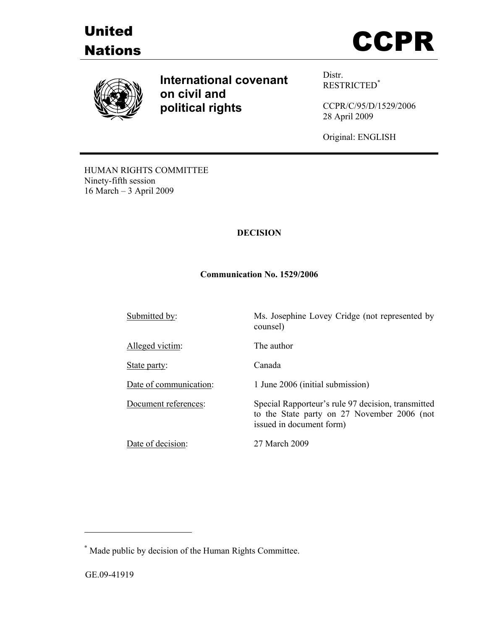





**International covenant on civil and political rights**

Distr. RESTRICTED\*

CCPR/C/95/D/1529/2006 28 April 2009

Original: ENGLISH

HUMAN RIGHTS COMMITTEE Ninety-fifth session 16 March – 3 April 2009

## **DECISION**

### **Communication No. 1529/2006**

Submitted by: Ms. Josephine Lovey Cridge (not represented by

Alleged victim: The author

State party: Canada

Date of decision: 27 March 2009

counsel)

Date of communication: 1 June 2006 (initial submission)

Document references: Special Rapporteur's rule 97 decision, transmitted to the State party on 27 November 2006 (not issued in document form)

 $\overline{a}$ 

**<sup>\*</sup>** Made public by decision of the Human Rights Committee.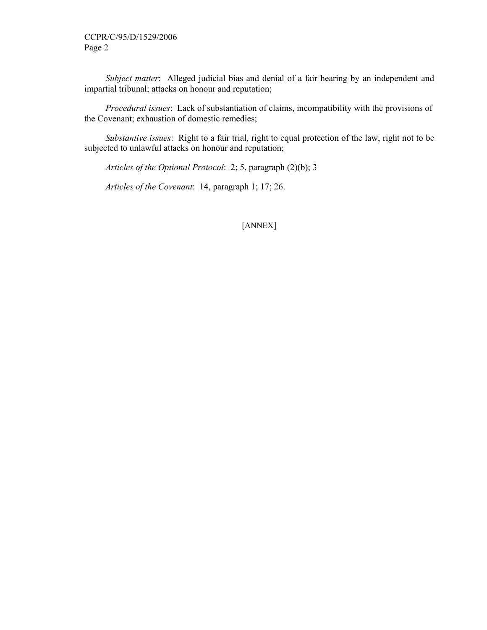*Subject matter*: Alleged judicial bias and denial of a fair hearing by an independent and impartial tribunal; attacks on honour and reputation;

 *Procedural issues*: Lack of substantiation of claims, incompatibility with the provisions of the Covenant; exhaustion of domestic remedies;

 *Substantive issues*: Right to a fair trial, right to equal protection of the law, right not to be subjected to unlawful attacks on honour and reputation;

 *Articles of the Optional Protocol*: 2; 5, paragraph (2)(b); 3

 *Articles of the Covenant*: 14, paragraph 1; 17; 26.

[ANNEX]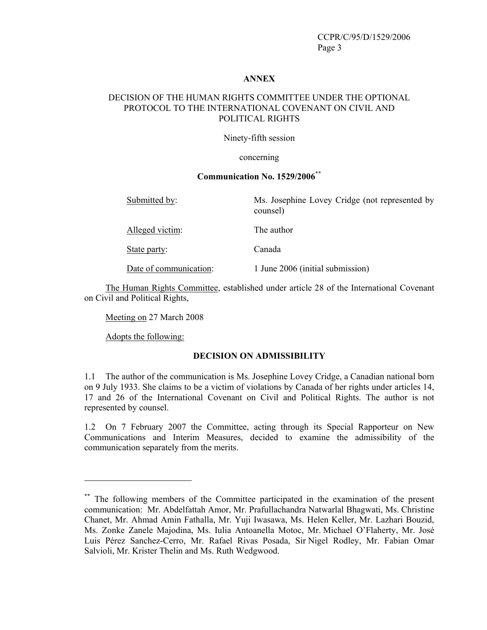### **ANNEX**

# DECISION OF THE HUMAN RIGHTS COMMITTEE UNDER THE OPTIONAL PROTOCOL TO THE INTERNATIONAL COVENANT ON CIVIL AND POLITICAL RIGHTS

Ninety-fifth session

#### concerning

# **Communication No. 1529/2006\*\***

| Submitted by:          | Ms. Josephine Lovey Cridge (not represented by<br>counsel) |
|------------------------|------------------------------------------------------------|
| Alleged victim:        | The author                                                 |
| State party:           | Canada                                                     |
| Date of communication: | 1 June 2006 (initial submission)                           |

 The Human Rights Committee, established under article 28 of the International Covenant on Civil and Political Rights,

Meeting on 27 March 2008

Adopts the following:

 $\overline{a}$ 

### **DECISION ON ADMISSIBILITY**

1.1 The author of the communication is Ms. Josephine Lovey Cridge, a Canadian national born on 9 July 1933. She claims to be a victim of violations by Canada of her rights under articles 14, 17 and 26 of the International Covenant on Civil and Political Rights. The author is not represented by counsel.

1.2 On 7 February 2007 the Committee, acting through its Special Rapporteur on New Communications and Interim Measures, decided to examine the admissibility of the communication separately from the merits.

<sup>\*\*</sup> The following members of the Committee participated in the examination of the present communication: Mr. Abdelfattah Amor, Mr. Prafullachandra Natwarlal Bhagwati, Ms. Christine Chanet, Mr. Ahmad Amin Fathalla, Mr. Yuji Iwasawa, Ms. Helen Keller, Mr. Lazhari Bouzid, Ms. Zonke Zanele Majodina, Ms. Iulia Antoanella Motoc, Mr. Michael O'Flaherty, Mr. José Luis Pérez Sanchez-Cerro, Mr. Rafael Rivas Posada, Sir Nigel Rodley, Mr. Fabian Omar Salvioli, Mr. Krister Thelin and Ms. Ruth Wedgwood.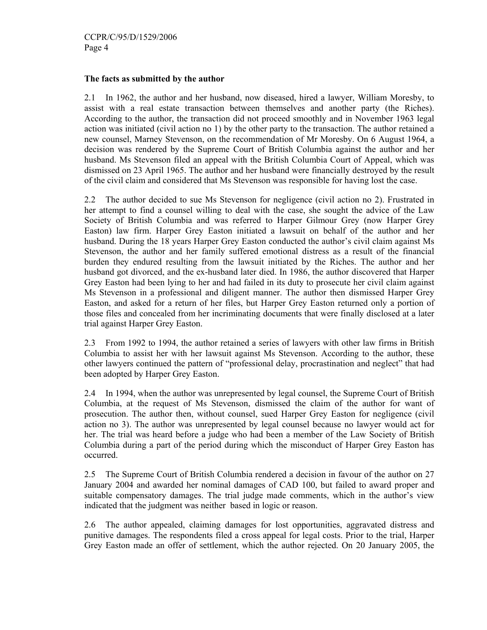### **The facts as submitted by the author**

2.1 In 1962, the author and her husband, now diseased, hired a lawyer, William Moresby, to assist with a real estate transaction between themselves and another party (the Riches). According to the author, the transaction did not proceed smoothly and in November 1963 legal action was initiated (civil action no 1) by the other party to the transaction. The author retained a new counsel, Marney Stevenson, on the recommendation of Mr Moresby. On 6 August 1964, a decision was rendered by the Supreme Court of British Columbia against the author and her husband. Ms Stevenson filed an appeal with the British Columbia Court of Appeal, which was dismissed on 23 April 1965. The author and her husband were financially destroyed by the result of the civil claim and considered that Ms Stevenson was responsible for having lost the case.

2.2 The author decided to sue Ms Stevenson for negligence (civil action no 2). Frustrated in her attempt to find a counsel willing to deal with the case, she sought the advice of the Law Society of British Columbia and was referred to Harper Gilmour Grey (now Harper Grey Easton) law firm. Harper Grey Easton initiated a lawsuit on behalf of the author and her husband. During the 18 years Harper Grey Easton conducted the author's civil claim against Ms Stevenson, the author and her family suffered emotional distress as a result of the financial burden they endured resulting from the lawsuit initiated by the Riches. The author and her husband got divorced, and the ex-husband later died. In 1986, the author discovered that Harper Grey Easton had been lying to her and had failed in its duty to prosecute her civil claim against Ms Stevenson in a professional and diligent manner. The author then dismissed Harper Grey Easton, and asked for a return of her files, but Harper Grey Easton returned only a portion of those files and concealed from her incriminating documents that were finally disclosed at a later trial against Harper Grey Easton.

2.3 From 1992 to 1994, the author retained a series of lawyers with other law firms in British Columbia to assist her with her lawsuit against Ms Stevenson. According to the author, these other lawyers continued the pattern of "professional delay, procrastination and neglect" that had been adopted by Harper Grey Easton.

2.4 In 1994, when the author was unrepresented by legal counsel, the Supreme Court of British Columbia, at the request of Ms Stevenson, dismissed the claim of the author for want of prosecution. The author then, without counsel, sued Harper Grey Easton for negligence (civil action no 3). The author was unrepresented by legal counsel because no lawyer would act for her. The trial was heard before a judge who had been a member of the Law Society of British Columbia during a part of the period during which the misconduct of Harper Grey Easton has occurred.

2.5 The Supreme Court of British Columbia rendered a decision in favour of the author on 27 January 2004 and awarded her nominal damages of CAD 100, but failed to award proper and suitable compensatory damages. The trial judge made comments, which in the author's view indicated that the judgment was neither based in logic or reason.

2.6 The author appealed, claiming damages for lost opportunities, aggravated distress and punitive damages. The respondents filed a cross appeal for legal costs. Prior to the trial, Harper Grey Easton made an offer of settlement, which the author rejected. On 20 January 2005, the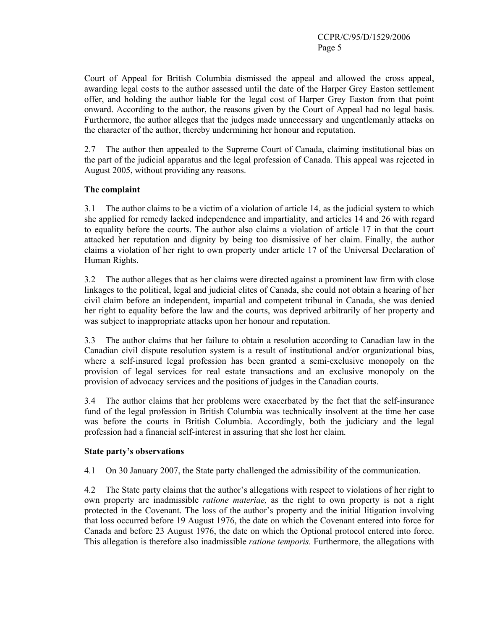Court of Appeal for British Columbia dismissed the appeal and allowed the cross appeal, awarding legal costs to the author assessed until the date of the Harper Grey Easton settlement offer, and holding the author liable for the legal cost of Harper Grey Easton from that point onward. According to the author, the reasons given by the Court of Appeal had no legal basis. Furthermore, the author alleges that the judges made unnecessary and ungentlemanly attacks on the character of the author, thereby undermining her honour and reputation.

2.7 The author then appealed to the Supreme Court of Canada, claiming institutional bias on the part of the judicial apparatus and the legal profession of Canada. This appeal was rejected in August 2005, without providing any reasons.

# **The complaint**

3.1 The author claims to be a victim of a violation of article 14, as the judicial system to which she applied for remedy lacked independence and impartiality, and articles 14 and 26 with regard to equality before the courts. The author also claims a violation of article 17 in that the court attacked her reputation and dignity by being too dismissive of her claim. Finally, the author claims a violation of her right to own property under article 17 of the Universal Declaration of Human Rights.

3.2 The author alleges that as her claims were directed against a prominent law firm with close linkages to the political, legal and judicial elites of Canada, she could not obtain a hearing of her civil claim before an independent, impartial and competent tribunal in Canada, she was denied her right to equality before the law and the courts, was deprived arbitrarily of her property and was subject to inappropriate attacks upon her honour and reputation.

3.3 The author claims that her failure to obtain a resolution according to Canadian law in the Canadian civil dispute resolution system is a result of institutional and/or organizational bias, where a self-insured legal profession has been granted a semi-exclusive monopoly on the provision of legal services for real estate transactions and an exclusive monopoly on the provision of advocacy services and the positions of judges in the Canadian courts.

3.4 The author claims that her problems were exacerbated by the fact that the self-insurance fund of the legal profession in British Columbia was technically insolvent at the time her case was before the courts in British Columbia. Accordingly, both the judiciary and the legal profession had a financial self-interest in assuring that she lost her claim.

### **State party's observations**

4.1 On 30 January 2007, the State party challenged the admissibility of the communication.

4.2 The State party claims that the author's allegations with respect to violations of her right to own property are inadmissible *ratione materiae,* as the right to own property is not a right protected in the Covenant. The loss of the author's property and the initial litigation involving that loss occurred before 19 August 1976, the date on which the Covenant entered into force for Canada and before 23 August 1976, the date on which the Optional protocol entered into force. This allegation is therefore also inadmissible *ratione temporis.* Furthermore, the allegations with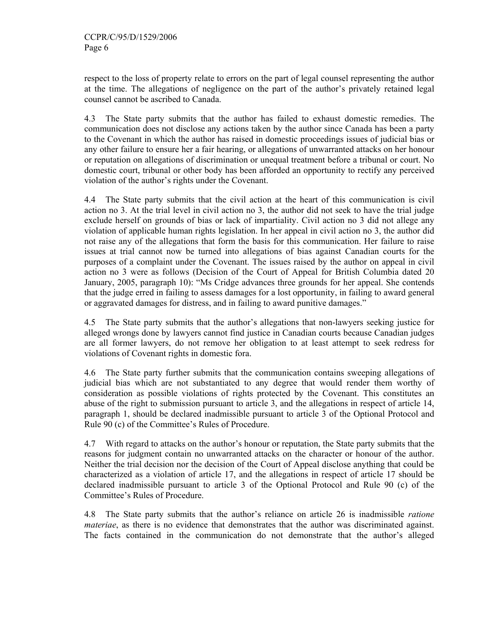respect to the loss of property relate to errors on the part of legal counsel representing the author at the time. The allegations of negligence on the part of the author's privately retained legal counsel cannot be ascribed to Canada.

4.3 The State party submits that the author has failed to exhaust domestic remedies. The communication does not disclose any actions taken by the author since Canada has been a party to the Covenant in which the author has raised in domestic proceedings issues of judicial bias or any other failure to ensure her a fair hearing, or allegations of unwarranted attacks on her honour or reputation on allegations of discrimination or unequal treatment before a tribunal or court. No domestic court, tribunal or other body has been afforded an opportunity to rectify any perceived violation of the author's rights under the Covenant.

4.4 The State party submits that the civil action at the heart of this communication is civil action no 3. At the trial level in civil action no 3, the author did not seek to have the trial judge exclude herself on grounds of bias or lack of impartiality. Civil action no 3 did not allege any violation of applicable human rights legislation. In her appeal in civil action no 3, the author did not raise any of the allegations that form the basis for this communication. Her failure to raise issues at trial cannot now be turned into allegations of bias against Canadian courts for the purposes of a complaint under the Covenant. The issues raised by the author on appeal in civil action no 3 were as follows (Decision of the Court of Appeal for British Columbia dated 20 January, 2005, paragraph 10): "Ms Cridge advances three grounds for her appeal. She contends that the judge erred in failing to assess damages for a lost opportunity, in failing to award general or aggravated damages for distress, and in failing to award punitive damages."

4.5 The State party submits that the author's allegations that non-lawyers seeking justice for alleged wrongs done by lawyers cannot find justice in Canadian courts because Canadian judges are all former lawyers, do not remove her obligation to at least attempt to seek redress for violations of Covenant rights in domestic fora.

4.6 The State party further submits that the communication contains sweeping allegations of judicial bias which are not substantiated to any degree that would render them worthy of consideration as possible violations of rights protected by the Covenant. This constitutes an abuse of the right to submission pursuant to article 3, and the allegations in respect of article 14, paragraph 1, should be declared inadmissible pursuant to article 3 of the Optional Protocol and Rule 90 (c) of the Committee's Rules of Procedure.

4.7 With regard to attacks on the author's honour or reputation, the State party submits that the reasons for judgment contain no unwarranted attacks on the character or honour of the author. Neither the trial decision nor the decision of the Court of Appeal disclose anything that could be characterized as a violation of article 17, and the allegations in respect of article 17 should be declared inadmissible pursuant to article 3 of the Optional Protocol and Rule 90 (c) of the Committee's Rules of Procedure.

4.8 The State party submits that the author's reliance on article 26 is inadmissible *ratione materiae*, as there is no evidence that demonstrates that the author was discriminated against. The facts contained in the communication do not demonstrate that the author's alleged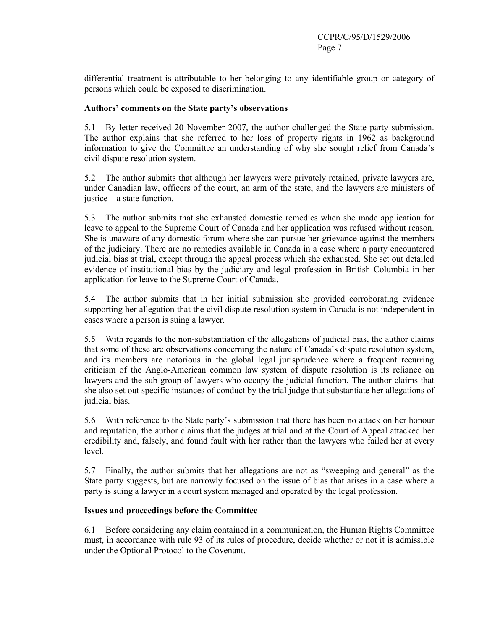differential treatment is attributable to her belonging to any identifiable group or category of persons which could be exposed to discrimination.

### **Authors' comments on the State party's observations**

5.1 By letter received 20 November 2007, the author challenged the State party submission. The author explains that she referred to her loss of property rights in 1962 as background information to give the Committee an understanding of why she sought relief from Canada's civil dispute resolution system.

5.2 The author submits that although her lawyers were privately retained, private lawyers are, under Canadian law, officers of the court, an arm of the state, and the lawyers are ministers of justice – a state function.

5.3 The author submits that she exhausted domestic remedies when she made application for leave to appeal to the Supreme Court of Canada and her application was refused without reason. She is unaware of any domestic forum where she can pursue her grievance against the members of the judiciary. There are no remedies available in Canada in a case where a party encountered judicial bias at trial, except through the appeal process which she exhausted. She set out detailed evidence of institutional bias by the judiciary and legal profession in British Columbia in her application for leave to the Supreme Court of Canada.

5.4 The author submits that in her initial submission she provided corroborating evidence supporting her allegation that the civil dispute resolution system in Canada is not independent in cases where a person is suing a lawyer.

5.5 With regards to the non-substantiation of the allegations of judicial bias, the author claims that some of these are observations concerning the nature of Canada's dispute resolution system, and its members are notorious in the global legal jurisprudence where a frequent recurring criticism of the Anglo-American common law system of dispute resolution is its reliance on lawyers and the sub-group of lawyers who occupy the judicial function. The author claims that she also set out specific instances of conduct by the trial judge that substantiate her allegations of judicial bias.

5.6 With reference to the State party's submission that there has been no attack on her honour and reputation, the author claims that the judges at trial and at the Court of Appeal attacked her credibility and, falsely, and found fault with her rather than the lawyers who failed her at every level.

5.7 Finally, the author submits that her allegations are not as "sweeping and general" as the State party suggests, but are narrowly focused on the issue of bias that arises in a case where a party is suing a lawyer in a court system managed and operated by the legal profession.

### **Issues and proceedings before the Committee**

6.1 Before considering any claim contained in a communication, the Human Rights Committee must, in accordance with rule 93 of its rules of procedure, decide whether or not it is admissible under the Optional Protocol to the Covenant.